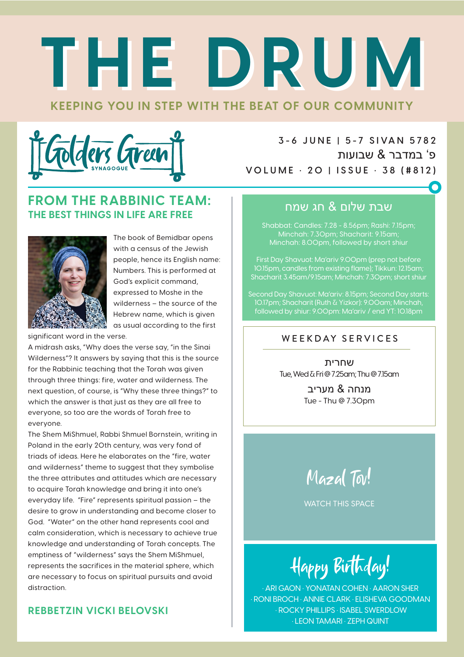# **KEEPING YOU IN STEP WITH THE BEAT OF OUR COMMUNITY THE DRUM THE DRUM**



**3 - 6 J U N E | 5 - 7 S I VA N 5 78 2** פ' במדבר & שבועות **VOLUME • 20 | ISSUE • 38 (#812)**

## **FROM THE RABBINIC TEAM: THE BEST THINGS IN LIFE ARE FREE**



The book of Bemidbar opens with a census of the Jewish people, hence its English name: Numbers. This is performed at God's explicit command, expressed to Moshe in the wilderness – the source of the Hebrew name, which is given as usual according to the first

significant word in the verse.

A midrash asks, "Why does the verse say, "in the Sinai Wilderness"? It answers by saying that this is the source for the Rabbinic teaching that the Torah was given through three things: fire, water and wilderness. The next question, of course, is "Why these three things?" to which the answer is that just as they are all free to everyone, so too are the words of Torah free to everyone.

The Shem MiShmuel, Rabbi Shmuel Bornstein, writing in Poland in the early 20th century, was very fond of triads of ideas. Here he elaborates on the "fire, water and wilderness" theme to suggest that they symbolise the three attributes and attitudes which are necessary to acquire Torah knowledge and bring it into one's everyday life. "Fire" represents spiritual passion – the desire to grow in understanding and become closer to God. "Water" on the other hand represents cool and calm consideration, which is necessary to achieve true knowledge and understanding of Torah concepts. The emptiness of "wilderness" says the Shem MiShmuel, represents the sacrifices in the material sphere, which are necessary to focus on spiritual pursuits and avoid distraction.

### **REBBETZIN VICKI BELOVSKI**

## שבת שלום & חג שמח

Shabbat: Candles: 7.28 - 8.56pm; Rashi: 7.15pm; Minchah: 7.30pm; Shacharit: 9.15am; Minchah: 8.00pm, followed by short shiur

First Day Shavuot: Ma'ariv 9.00pm (prep not before 10.15pm, candles from existing flame); Tikkun: 12.15am; Shacharit 3.45am/9.15am; Minchah: 7.30pm; short shiur

Second Day Shavuot: Ma'ariv: 8.15pm; Second Day starts: 10.17pm; Shacharit (Ruth & Yizkor): 9.00am; Minchah, followed by shiur: 9.00pm: Ma'ariv / end YT: 10.18pm

#### WEEKDAY SERVICES

שחרית Tue, Wed & Fri @ 7.25am; Thu @ 7.15am

> מנחה & מעריב Tue - Thu @ 7.30pm

Mazal Tov!

WATCH THIS SPACE

Happy Birthday!

• ARI GAON • YONATAN COHEN • AARON SHER • RONI BROCH • ANNIE CLARK • ELISHEVA GOODMAN • ROCKY PHILLIPS • ISABEL SWERDLOW • LEON TAMARI • ZEPH QUINT